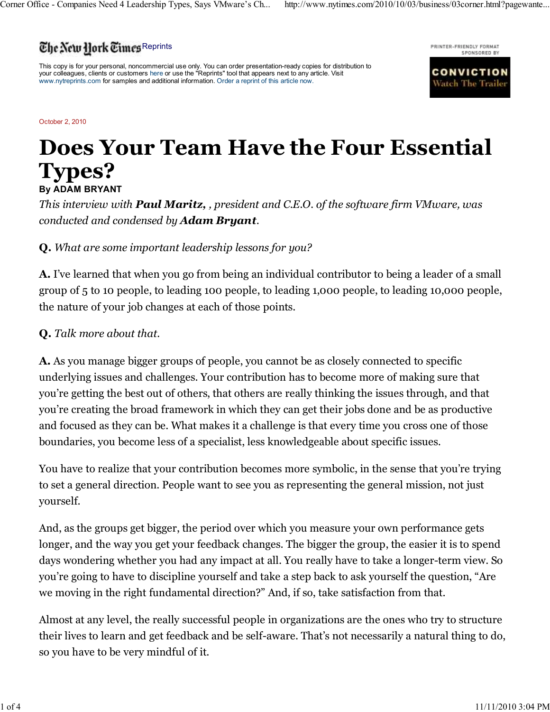# The New Hork Times Reprints

PRINTER-FRIENDLY FORMAT SPONSORED BY

**CONVICTION** atch The Trailer

This copy is for your personal, noncommercial use only. You can order presentation-ready copies for distribution to your colleagues, clients or customers here or use the "Reprints" tool that appears next to any article. Visit www.nytreprints.com for samples and additional information. Order a reprint of this article now.

October 2, 2010

# Does Your Team Have the Four Essential Types? By ADAM BRYANT

This interview with Paul Maritz, , president and C.E.O. of the software firm VMware, was conducted and condensed by **Adam Bryant**.

#### Q. What are some important leadership lessons for you?

A. I've learned that when you go from being an individual contributor to being a leader of a small group of 5 to 10 people, to leading 100 people, to leading 1,000 people, to leading 10,000 people, the nature of your job changes at each of those points.

#### Q. Talk more about that.

A. As you manage bigger groups of people, you cannot be as closely connected to specific underlying issues and challenges. Your contribution has to become more of making sure that you're getting the best out of others, that others are really thinking the issues through, and that you're creating the broad framework in which they can get their jobs done and be as productive and focused as they can be. What makes it a challenge is that every time you cross one of those boundaries, you become less of a specialist, less knowledgeable about specific issues.

You have to realize that your contribution becomes more symbolic, in the sense that you're trying to set a general direction. People want to see you as representing the general mission, not just yourself.

And, as the groups get bigger, the period over which you measure your own performance gets longer, and the way you get your feedback changes. The bigger the group, the easier it is to spend days wondering whether you had any impact at all. You really have to take a longer-term view. So you're going to have to discipline yourself and take a step back to ask yourself the question, "Are we moving in the right fundamental direction?" And, if so, take satisfaction from that.

Almost at any level, the really successful people in organizations are the ones who try to structure their lives to learn and get feedback and be self-aware. That's not necessarily a natural thing to do, so you have to be very mindful of it.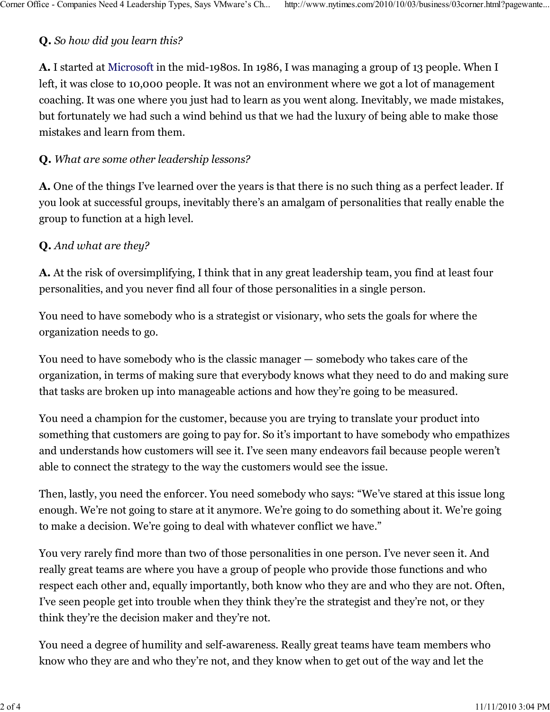### Q. So how did you learn this?

A. I started at Microsoft in the mid-1980s. In 1986, I was managing a group of 13 people. When I left, it was close to 10,000 people. It was not an environment where we got a lot of management coaching. It was one where you just had to learn as you went along. Inevitably, we made mistakes, but fortunately we had such a wind behind us that we had the luxury of being able to make those mistakes and learn from them.

#### Q. What are some other leadership lessons?

A. One of the things I've learned over the years is that there is no such thing as a perfect leader. If you look at successful groups, inevitably there's an amalgam of personalities that really enable the group to function at a high level.

### Q. And what are they?

A. At the risk of oversimplifying, I think that in any great leadership team, you find at least four personalities, and you never find all four of those personalities in a single person.

You need to have somebody who is a strategist or visionary, who sets the goals for where the organization needs to go.

You need to have somebody who is the classic manager — somebody who takes care of the organization, in terms of making sure that everybody knows what they need to do and making sure that tasks are broken up into manageable actions and how they're going to be measured.

You need a champion for the customer, because you are trying to translate your product into something that customers are going to pay for. So it's important to have somebody who empathizes and understands how customers will see it. I've seen many endeavors fail because people weren't able to connect the strategy to the way the customers would see the issue.

Then, lastly, you need the enforcer. You need somebody who says: "We've stared at this issue long enough. We're not going to stare at it anymore. We're going to do something about it. We're going to make a decision. We're going to deal with whatever conflict we have."

You very rarely find more than two of those personalities in one person. I've never seen it. And really great teams are where you have a group of people who provide those functions and who respect each other and, equally importantly, both know who they are and who they are not. Often, I've seen people get into trouble when they think they're the strategist and they're not, or they think they're the decision maker and they're not.

You need a degree of humility and self-awareness. Really great teams have team members who know who they are and who they're not, and they know when to get out of the way and let the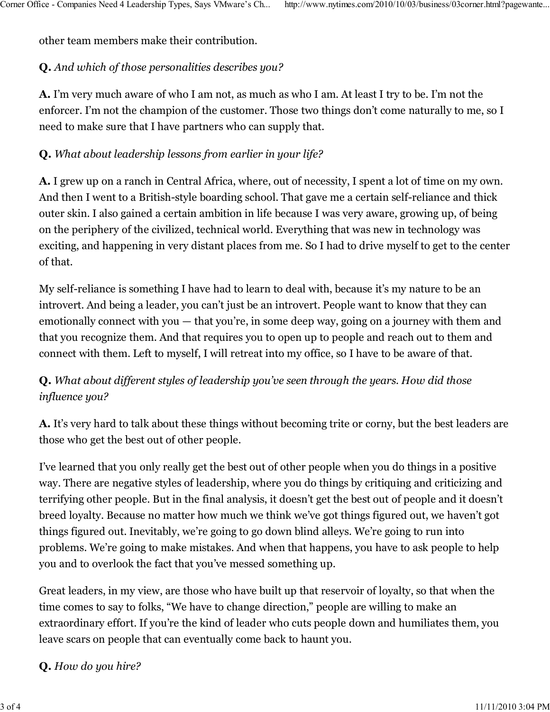other team members make their contribution.

### Q. And which of those personalities describes you?

A. I'm very much aware of who I am not, as much as who I am. At least I try to be. I'm not the enforcer. I'm not the champion of the customer. Those two things don't come naturally to me, so I need to make sure that I have partners who can supply that.

## Q. What about leadership lessons from earlier in your life?

A. I grew up on a ranch in Central Africa, where, out of necessity, I spent a lot of time on my own. And then I went to a British-style boarding school. That gave me a certain self-reliance and thick outer skin. I also gained a certain ambition in life because I was very aware, growing up, of being on the periphery of the civilized, technical world. Everything that was new in technology was exciting, and happening in very distant places from me. So I had to drive myself to get to the center of that.

My self-reliance is something I have had to learn to deal with, because it's my nature to be an introvert. And being a leader, you can't just be an introvert. People want to know that they can emotionally connect with you — that you're, in some deep way, going on a journey with them and that you recognize them. And that requires you to open up to people and reach out to them and connect with them. Left to myself, I will retreat into my office, so I have to be aware of that.

# Q. What about different styles of leadership you've seen through the years. How did those influence you?

A. It's very hard to talk about these things without becoming trite or corny, but the best leaders are those who get the best out of other people.

I've learned that you only really get the best out of other people when you do things in a positive way. There are negative styles of leadership, where you do things by critiquing and criticizing and terrifying other people. But in the final analysis, it doesn't get the best out of people and it doesn't breed loyalty. Because no matter how much we think we've got things figured out, we haven't got things figured out. Inevitably, we're going to go down blind alleys. We're going to run into problems. We're going to make mistakes. And when that happens, you have to ask people to help you and to overlook the fact that you've messed something up.

Great leaders, in my view, are those who have built up that reservoir of loyalty, so that when the time comes to say to folks, "We have to change direction," people are willing to make an extraordinary effort. If you're the kind of leader who cuts people down and humiliates them, you leave scars on people that can eventually come back to haunt you.

#### Q. How do you hire?